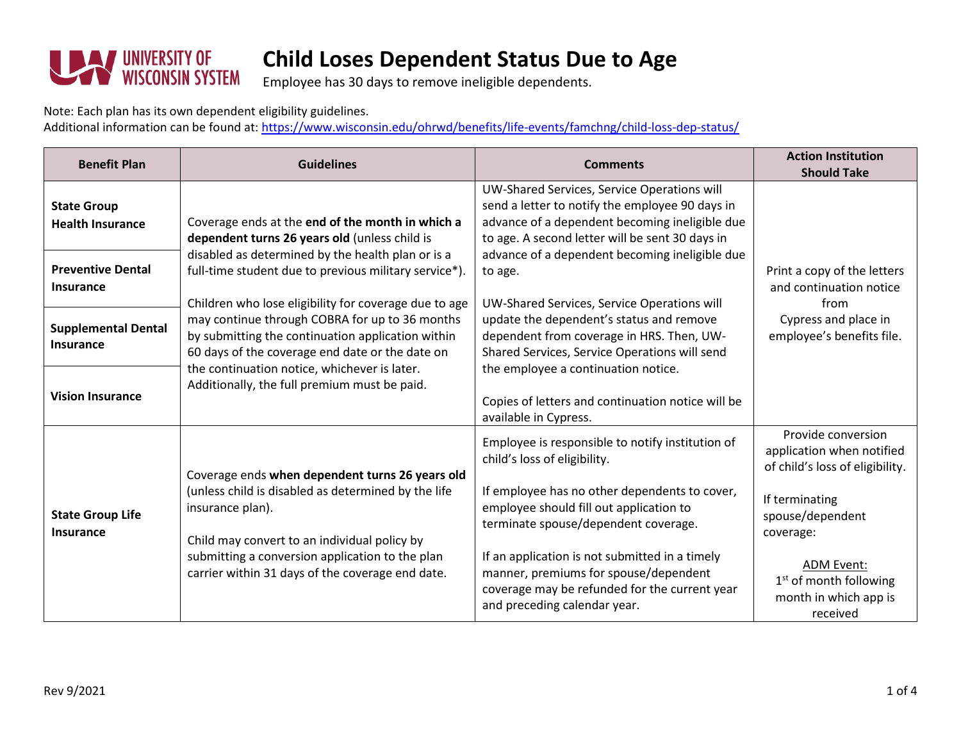

Employee has 30 days to remove ineligible dependents.

Note: Each plan has its own dependent eligibility guidelines.

Additional information can be found at[: https://www.wisconsin.edu/ohrwd/benefits/life-events/famchng/child-loss-dep-status/](https://www.wisconsin.edu/ohrwd/benefits/life-events/famchng/child-loss-dep-status/)

| <b>Benefit Plan</b>                           | <b>Guidelines</b>                                                                                                                                                                                                                                                                                                                                                                                                                                                                                                                  | <b>Comments</b>                                                                                                                                                                                     | <b>Action Institution</b><br><b>Should Take</b>                                                                     |
|-----------------------------------------------|------------------------------------------------------------------------------------------------------------------------------------------------------------------------------------------------------------------------------------------------------------------------------------------------------------------------------------------------------------------------------------------------------------------------------------------------------------------------------------------------------------------------------------|-----------------------------------------------------------------------------------------------------------------------------------------------------------------------------------------------------|---------------------------------------------------------------------------------------------------------------------|
| <b>State Group</b><br><b>Health Insurance</b> | Coverage ends at the end of the month in which a<br>dependent turns 26 years old (unless child is<br>disabled as determined by the health plan or is a<br>full-time student due to previous military service*).<br>Children who lose eligibility for coverage due to age<br>may continue through COBRA for up to 36 months<br>by submitting the continuation application within<br>60 days of the coverage end date or the date on<br>the continuation notice, whichever is later.<br>Additionally, the full premium must be paid. | UW-Shared Services, Service Operations will<br>send a letter to notify the employee 90 days in<br>advance of a dependent becoming ineligible due<br>to age. A second letter will be sent 30 days in | Print a copy of the letters<br>and continuation notice<br>from<br>Cypress and place in<br>employee's benefits file. |
| <b>Preventive Dental</b><br><b>Insurance</b>  |                                                                                                                                                                                                                                                                                                                                                                                                                                                                                                                                    | advance of a dependent becoming ineligible due<br>to age.<br>UW-Shared Services, Service Operations will                                                                                            |                                                                                                                     |
| <b>Supplemental Dental</b><br>Insurance       |                                                                                                                                                                                                                                                                                                                                                                                                                                                                                                                                    | update the dependent's status and remove<br>dependent from coverage in HRS. Then, UW-<br>Shared Services, Service Operations will send<br>the employee a continuation notice.                       |                                                                                                                     |
| <b>Vision Insurance</b>                       |                                                                                                                                                                                                                                                                                                                                                                                                                                                                                                                                    | Copies of letters and continuation notice will be<br>available in Cypress.                                                                                                                          |                                                                                                                     |
|                                               | Coverage ends when dependent turns 26 years old<br>(unless child is disabled as determined by the life<br>insurance plan).<br>Child may convert to an individual policy by<br>submitting a conversion application to the plan<br>carrier within 31 days of the coverage end date.                                                                                                                                                                                                                                                  | Employee is responsible to notify institution of<br>child's loss of eligibility.                                                                                                                    | Provide conversion<br>application when notified<br>of child's loss of eligibility.                                  |
| <b>State Group Life</b><br>Insurance          |                                                                                                                                                                                                                                                                                                                                                                                                                                                                                                                                    | If employee has no other dependents to cover,<br>employee should fill out application to<br>terminate spouse/dependent coverage.                                                                    | If terminating<br>spouse/dependent<br>coverage:                                                                     |
|                                               |                                                                                                                                                                                                                                                                                                                                                                                                                                                                                                                                    | If an application is not submitted in a timely<br>manner, premiums for spouse/dependent<br>coverage may be refunded for the current year<br>and preceding calendar year.                            | <b>ADM Event:</b><br>$1st$ of month following<br>month in which app is<br>received                                  |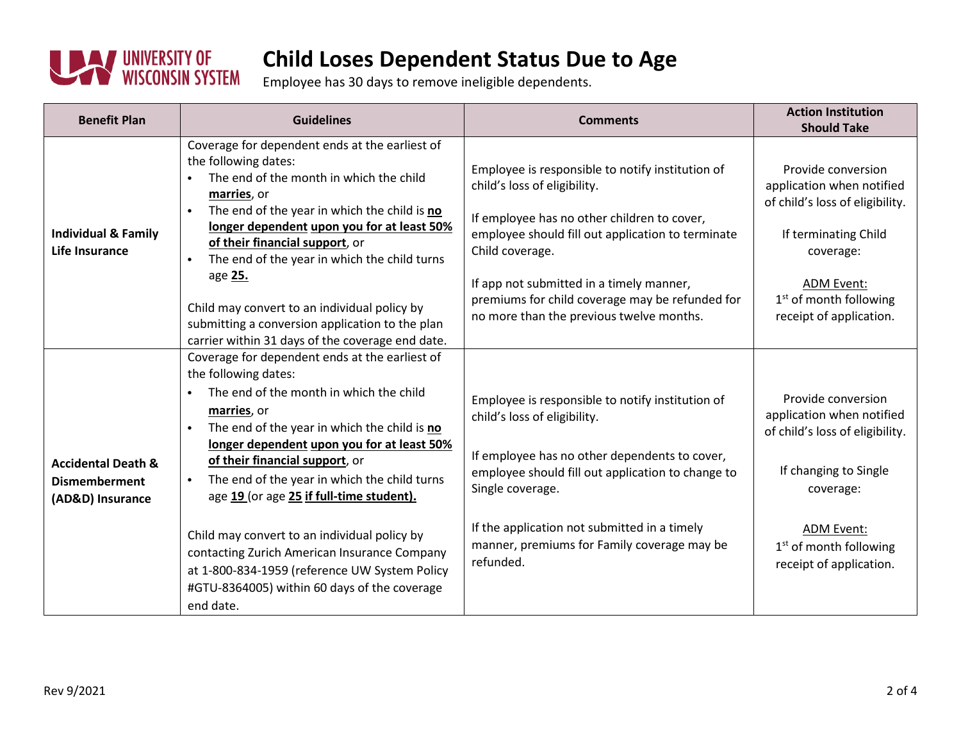

Employee has 30 days to remove ineligible dependents.

| <b>Benefit Plan</b>                                                       | <b>Guidelines</b>                                                                                                                                                                                                                                                                                                                                                                                                                                                                                                                                                                                    | <b>Comments</b>                                                                                                                                                                                                                                                                                                                                    | <b>Action Institution</b><br><b>Should Take</b>                                                                                                                                                               |
|---------------------------------------------------------------------------|------------------------------------------------------------------------------------------------------------------------------------------------------------------------------------------------------------------------------------------------------------------------------------------------------------------------------------------------------------------------------------------------------------------------------------------------------------------------------------------------------------------------------------------------------------------------------------------------------|----------------------------------------------------------------------------------------------------------------------------------------------------------------------------------------------------------------------------------------------------------------------------------------------------------------------------------------------------|---------------------------------------------------------------------------------------------------------------------------------------------------------------------------------------------------------------|
| <b>Individual &amp; Family</b><br><b>Life Insurance</b>                   | Coverage for dependent ends at the earliest of<br>the following dates:<br>The end of the month in which the child<br>marries, or<br>The end of the year in which the child is no<br>longer dependent upon you for at least 50%<br>of their financial support, or<br>The end of the year in which the child turns<br>$\bullet$<br>age 25.<br>Child may convert to an individual policy by<br>submitting a conversion application to the plan<br>carrier within 31 days of the coverage end date.                                                                                                      | Employee is responsible to notify institution of<br>child's loss of eligibility.<br>If employee has no other children to cover,<br>employee should fill out application to terminate<br>Child coverage.<br>If app not submitted in a timely manner,<br>premiums for child coverage may be refunded for<br>no more than the previous twelve months. | Provide conversion<br>application when notified<br>of child's loss of eligibility.<br>If terminating Child<br>coverage:<br><b>ADM Event:</b><br>1 <sup>st</sup> of month following<br>receipt of application. |
| <b>Accidental Death &amp;</b><br><b>Dismemberment</b><br>(AD&D) Insurance | Coverage for dependent ends at the earliest of<br>the following dates:<br>The end of the month in which the child<br>$\bullet$<br>marries, or<br>The end of the year in which the child is no<br>$\bullet$<br>longer dependent upon you for at least 50%<br>of their financial support, or<br>The end of the year in which the child turns<br>age 19 (or age 25 if full-time student).<br>Child may convert to an individual policy by<br>contacting Zurich American Insurance Company<br>at 1-800-834-1959 (reference UW System Policy<br>#GTU-8364005) within 60 days of the coverage<br>end date. | Employee is responsible to notify institution of<br>child's loss of eligibility.<br>If employee has no other dependents to cover,<br>employee should fill out application to change to<br>Single coverage.<br>If the application not submitted in a timely<br>manner, premiums for Family coverage may be<br>refunded.                             | Provide conversion<br>application when notified<br>of child's loss of eligibility.<br>If changing to Single<br>coverage:<br>ADM Event:<br>$1st$ of month following<br>receipt of application.                 |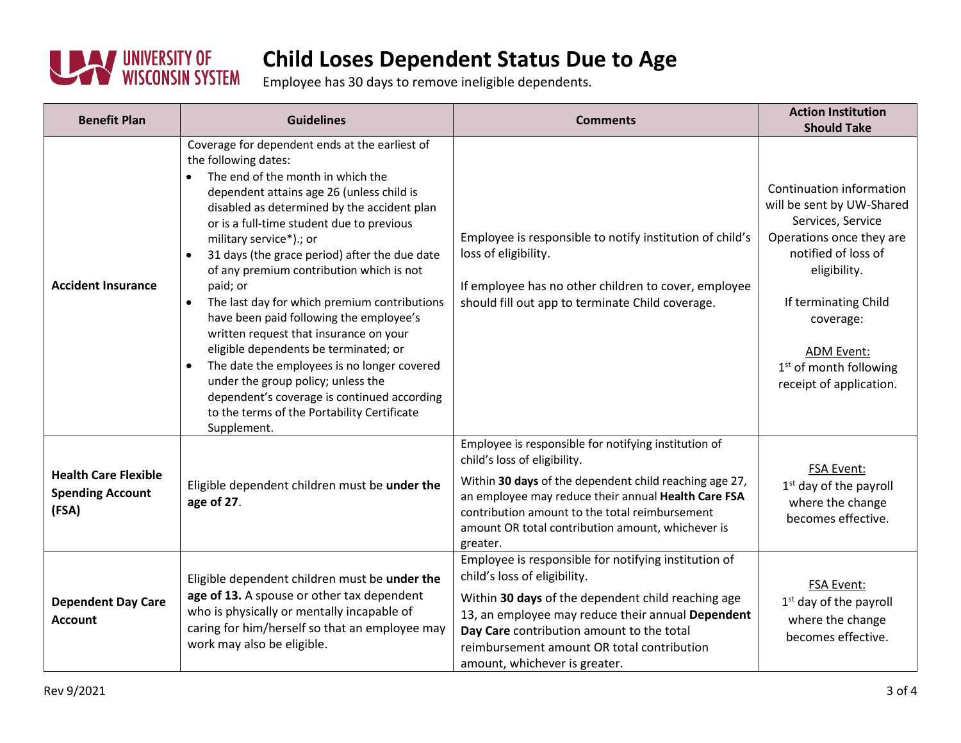

Employee has 30 days to remove ineligible dependents.

| <b>Benefit Plan</b>                                             | <b>Guidelines</b>                                                                                                                                                                                                                                                                                                                                                                                                                                                                                                                                                                                                                                                                                                                                                                                               | <b>Comments</b>                                                                                                                                                                                                                                                                                                             | <b>Action Institution</b><br><b>Should Take</b>                                                                                                                                                                                                                |
|-----------------------------------------------------------------|-----------------------------------------------------------------------------------------------------------------------------------------------------------------------------------------------------------------------------------------------------------------------------------------------------------------------------------------------------------------------------------------------------------------------------------------------------------------------------------------------------------------------------------------------------------------------------------------------------------------------------------------------------------------------------------------------------------------------------------------------------------------------------------------------------------------|-----------------------------------------------------------------------------------------------------------------------------------------------------------------------------------------------------------------------------------------------------------------------------------------------------------------------------|----------------------------------------------------------------------------------------------------------------------------------------------------------------------------------------------------------------------------------------------------------------|
| <b>Accident Insurance</b>                                       | Coverage for dependent ends at the earliest of<br>the following dates:<br>The end of the month in which the<br>dependent attains age 26 (unless child is<br>disabled as determined by the accident plan<br>or is a full-time student due to previous<br>military service*).; or<br>31 days (the grace period) after the due date<br>$\bullet$<br>of any premium contribution which is not<br>paid; or<br>The last day for which premium contributions<br>$\bullet$<br>have been paid following the employee's<br>written request that insurance on your<br>eligible dependents be terminated; or<br>The date the employees is no longer covered<br>$\bullet$<br>under the group policy; unless the<br>dependent's coverage is continued according<br>to the terms of the Portability Certificate<br>Supplement. | Employee is responsible to notify institution of child's<br>loss of eligibility.<br>If employee has no other children to cover, employee<br>should fill out app to terminate Child coverage.                                                                                                                                | Continuation information<br>will be sent by UW-Shared<br>Services, Service<br>Operations once they are<br>notified of loss of<br>eligibility.<br>If terminating Child<br>coverage:<br><b>ADM Event:</b><br>$1st$ of month following<br>receipt of application. |
| <b>Health Care Flexible</b><br><b>Spending Account</b><br>(FSA) | Eligible dependent children must be under the<br>age of 27.                                                                                                                                                                                                                                                                                                                                                                                                                                                                                                                                                                                                                                                                                                                                                     | Employee is responsible for notifying institution of<br>child's loss of eligibility.<br>Within 30 days of the dependent child reaching age 27,<br>an employee may reduce their annual Health Care FSA<br>contribution amount to the total reimbursement<br>amount OR total contribution amount, whichever is<br>greater.    | FSA Event:<br>1 <sup>st</sup> day of the payroll<br>where the change<br>becomes effective.                                                                                                                                                                     |
| <b>Dependent Day Care</b><br><b>Account</b>                     | Eligible dependent children must be under the<br>age of 13. A spouse or other tax dependent<br>who is physically or mentally incapable of<br>caring for him/herself so that an employee may<br>work may also be eligible.                                                                                                                                                                                                                                                                                                                                                                                                                                                                                                                                                                                       | Employee is responsible for notifying institution of<br>child's loss of eligibility.<br>Within 30 days of the dependent child reaching age<br>13, an employee may reduce their annual Dependent<br>Day Care contribution amount to the total<br>reimbursement amount OR total contribution<br>amount, whichever is greater. | FSA Event:<br>$1st$ day of the payroll<br>where the change<br>becomes effective.                                                                                                                                                                               |